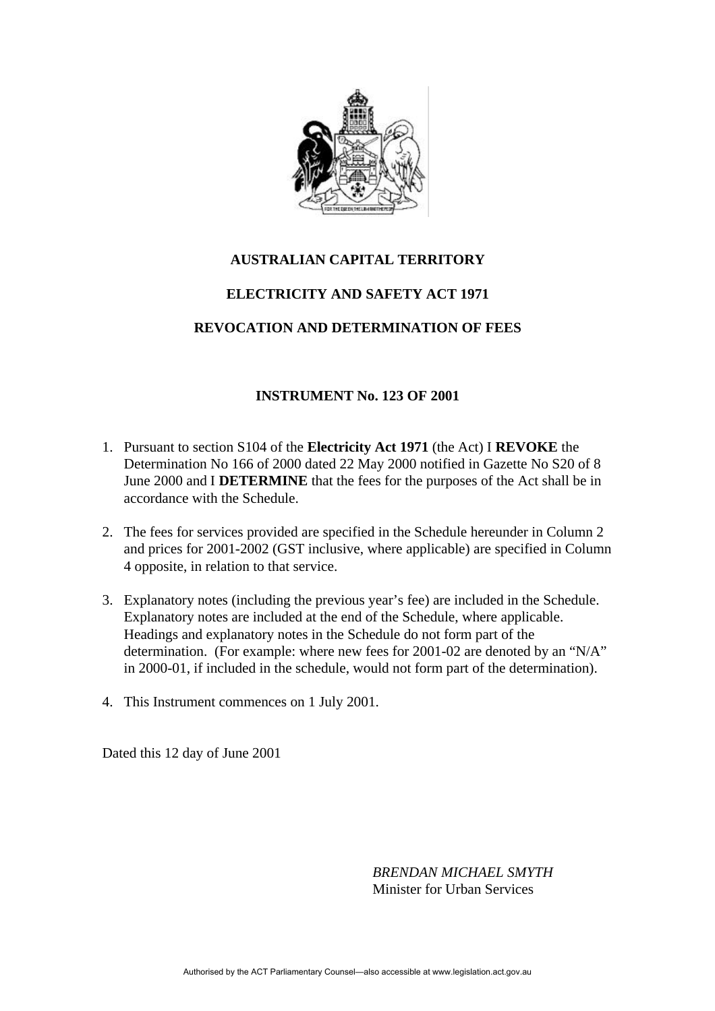

## **AUSTRALIAN CAPITAL TERRITORY ELECTRICITY AND SAFETY ACT 1971**

## **REVOCATION AND DETERMINATION OF FEES**

## **INSTRUMENT No. 123 OF 2001**

- 1. Pursuant to section S104 of the **Electricity Act 1971** (the Act) I **REVOKE** the Determination No 166 of 2000 dated 22 May 2000 notified in Gazette No S20 of 8 June 2000 and I **DETERMINE** that the fees for the purposes of the Act shall be in accordance with the Schedule.
- 2. The fees for services provided are specified in the Schedule hereunder in Column 2 and prices for 2001-2002 (GST inclusive, where applicable) are specified in Column 4 opposite, in relation to that service.
- 3. Explanatory notes (including the previous year's fee) are included in the Schedule. Explanatory notes are included at the end of the Schedule, where applicable. Headings and explanatory notes in the Schedule do not form part of the determination. (For example: where new fees for 2001-02 are denoted by an "N/A" in 2000-01, if included in the schedule, would not form part of the determination).
- 4. This Instrument commences on 1 July 2001.

Dated this 12 day of June 2001

*BRENDAN MICHAEL SMYTH* Minister for Urban Services